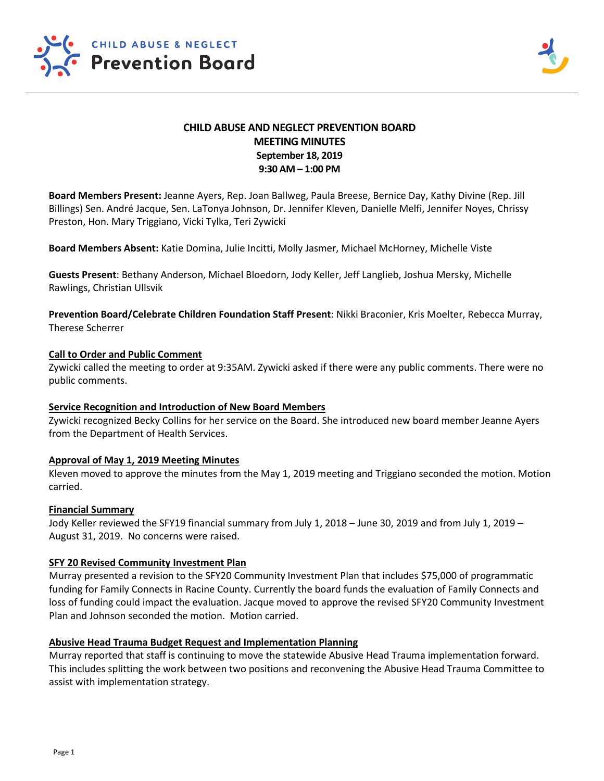

# **CHILD ABUSE AND NEGLECT PREVENTION BOARD MEETING MINUTES September 18, 2019 9:30 AM – 1:00 PM**

**Board Members Present:** Jeanne Ayers, Rep. Joan Ballweg, Paula Breese, Bernice Day, Kathy Divine (Rep. Jill Billings) Sen. André Jacque, Sen. LaTonya Johnson, Dr. Jennifer Kleven, Danielle Melfi, Jennifer Noyes, Chrissy Preston, Hon. Mary Triggiano, Vicki Tylka, Teri Zywicki

**Board Members Absent:** Katie Domina, Julie Incitti, Molly Jasmer, Michael McHorney, Michelle Viste

**Guests Present**: Bethany Anderson, Michael Bloedorn, Jody Keller, Jeff Langlieb, Joshua Mersky, Michelle Rawlings, Christian Ullsvik

**Prevention Board/Celebrate Children Foundation Staff Present**: Nikki Braconier, Kris Moelter, Rebecca Murray, Therese Scherrer

## **Call to Order and Public Comment**

Zywicki called the meeting to order at 9:35AM. Zywicki asked if there were any public comments. There were no public comments.

## **Service Recognition and Introduction of New Board Members**

Zywicki recognized Becky Collins for her service on the Board. She introduced new board member Jeanne Ayers from the Department of Health Services.

## **Approval of May 1, 2019 Meeting Minutes**

Kleven moved to approve the minutes from the May 1, 2019 meeting and Triggiano seconded the motion. Motion carried.

## **Financial Summary**

Jody Keller reviewed the SFY19 financial summary from July 1, 2018 – June 30, 2019 and from July 1, 2019 – August 31, 2019. No concerns were raised.

## **SFY 20 Revised Community Investment Plan**

Murray presented a revision to the SFY20 Community Investment Plan that includes \$75,000 of programmatic funding for Family Connects in Racine County. Currently the board funds the evaluation of Family Connects and loss of funding could impact the evaluation. Jacque moved to approve the revised SFY20 Community Investment Plan and Johnson seconded the motion. Motion carried.

## **Abusive Head Trauma Budget Request and Implementation Planning**

Murray reported that staff is continuing to move the statewide Abusive Head Trauma implementation forward. This includes splitting the work between two positions and reconvening the Abusive Head Trauma Committee to assist with implementation strategy.